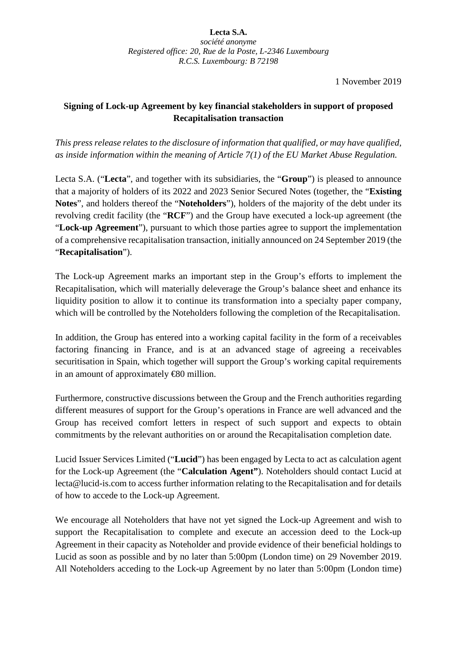**Lecta S.A.** *société anonyme Registered office: 20, Rue de la Poste, L-2346 Luxembourg R.C.S. Luxembourg: B 72198*

1 November 2019

## **Signing of Lock-up Agreement by key financial stakeholders in support of proposed Recapitalisation transaction**

*This press release relates to the disclosure of information that qualified, or may have qualified, as inside information within the meaning of Article 7(1) of the EU Market Abuse Regulation.*

Lecta S.A. ("**Lecta**", and together with its subsidiaries, the "**Group**") is pleased to announce that a majority of holders of its 2022 and 2023 Senior Secured Notes (together, the "**Existing Notes**", and holders thereof the "**Noteholders**"), holders of the majority of the debt under its revolving credit facility (the "**RCF**") and the Group have executed a lock-up agreement (the "**Lock-up Agreement**"), pursuant to which those parties agree to support the implementation of a comprehensive recapitalisation transaction, initially announced on 24 September 2019 (the "**Recapitalisation**").

The Lock-up Agreement marks an important step in the Group's efforts to implement the Recapitalisation, which will materially deleverage the Group's balance sheet and enhance its liquidity position to allow it to continue its transformation into a specialty paper company, which will be controlled by the Noteholders following the completion of the Recapitalisation.

In addition, the Group has entered into a working capital facility in the form of a receivables factoring financing in France, and is at an advanced stage of agreeing a receivables securitisation in Spain, which together will support the Group's working capital requirements in an amount of approximately €80 million.

Furthermore, constructive discussions between the Group and the French authorities regarding different measures of support for the Group's operations in France are well advanced and the Group has received comfort letters in respect of such support and expects to obtain commitments by the relevant authorities on or around the Recapitalisation completion date.

Lucid Issuer Services Limited ("**Lucid**") has been engaged by Lecta to act as calculation agent for the Lock-up Agreement (the "**Calculation Agent"**). Noteholders should contact Lucid at lecta@lucid-is.com to access further information relating to the Recapitalisation and for details of how to accede to the Lock-up Agreement.

We encourage all Noteholders that have not yet signed the Lock-up Agreement and wish to support the Recapitalisation to complete and execute an accession deed to the Lock-up Agreement in their capacity as Noteholder and provide evidence of their beneficial holdings to Lucid as soon as possible and by no later than 5:00pm (London time) on 29 November 2019. All Noteholders acceding to the Lock-up Agreement by no later than 5:00pm (London time)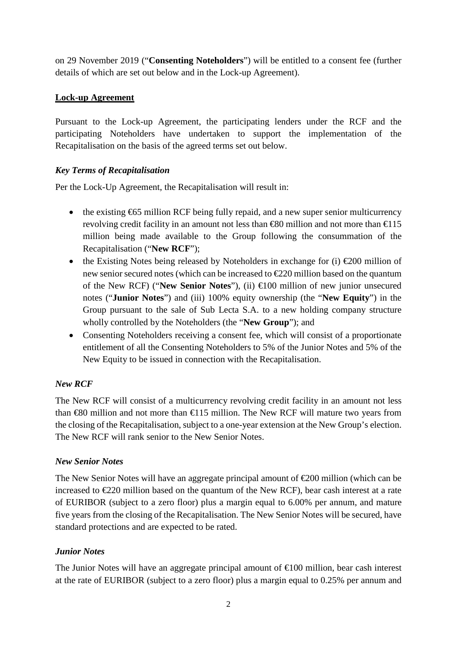on 29 November 2019 ("**Consenting Noteholders**") will be entitled to a consent fee (further details of which are set out below and in the Lock-up Agreement).

#### **Lock-up Agreement**

Pursuant to the Lock-up Agreement, the participating lenders under the RCF and the participating Noteholders have undertaken to support the implementation of the Recapitalisation on the basis of the agreed terms set out below.

#### *Key Terms of Recapitalisation*

Per the Lock-Up Agreement, the Recapitalisation will result in:

- the existing  $665$  million RCF being fully repaid, and a new super senior multicurrency revolving credit facility in an amount not less than  $\infty$  million and not more than  $\infty$  15 million being made available to the Group following the consummation of the Recapitalisation ("**New RCF**");
- the Existing Notes being released by Noteholders in exchange for (i)  $\epsilon$ 200 million of new senior secured notes (which can be increased to €220 million based on the quantum of the New RCF) ("**New Senior Notes**"), (ii) €100 million of new junior unsecured notes ("**Junior Notes**") and (iii) 100% equity ownership (the "**New Equity**") in the Group pursuant to the sale of Sub Lecta S.A. to a new holding company structure wholly controlled by the Noteholders (the "**New Group**"); and
- Consenting Noteholders receiving a consent fee, which will consist of a proportionate entitlement of all the Consenting Noteholders to 5% of the Junior Notes and 5% of the New Equity to be issued in connection with the Recapitalisation.

## *New RCF*

The New RCF will consist of a multicurrency revolving credit facility in an amount not less than  $680$  million and not more than  $615$  million. The New RCF will mature two years from the closing of the Recapitalisation, subject to a one-year extension at the New Group's election. The New RCF will rank senior to the New Senior Notes.

#### *New Senior Notes*

The New Senior Notes will have an aggregate principal amount of  $\epsilon$ 200 million (which can be increased to €220 million based on the quantum of the New RCF), bear cash interest at a rate of EURIBOR (subject to a zero floor) plus a margin equal to 6.00% per annum, and mature five years from the closing of the Recapitalisation. The New Senior Notes will be secured, have standard protections and are expected to be rated.

#### *Junior Notes*

The Junior Notes will have an aggregate principal amount of  $\bigoplus$  00 million, bear cash interest at the rate of EURIBOR (subject to a zero floor) plus a margin equal to 0.25% per annum and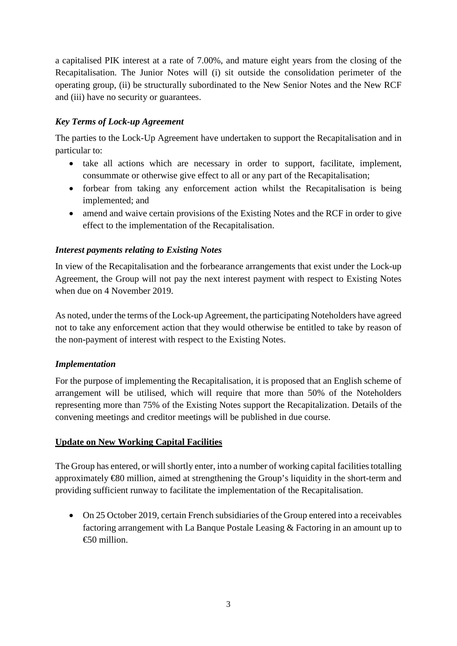a capitalised PIK interest at a rate of 7.00%, and mature eight years from the closing of the Recapitalisation. The Junior Notes will (i) sit outside the consolidation perimeter of the operating group, (ii) be structurally subordinated to the New Senior Notes and the New RCF and (iii) have no security or guarantees.

# *Key Terms of Lock-up Agreement*

The parties to the Lock-Up Agreement have undertaken to support the Recapitalisation and in particular to:

- take all actions which are necessary in order to support, facilitate, implement, consummate or otherwise give effect to all or any part of the Recapitalisation;
- forbear from taking any enforcement action whilst the Recapitalisation is being implemented; and
- amend and waive certain provisions of the Existing Notes and the RCF in order to give effect to the implementation of the Recapitalisation.

## *Interest payments relating to Existing Notes*

In view of the Recapitalisation and the forbearance arrangements that exist under the Lock-up Agreement, the Group will not pay the next interest payment with respect to Existing Notes when due on 4 November 2019.

As noted, under the terms of the Lock-up Agreement, the participating Noteholders have agreed not to take any enforcement action that they would otherwise be entitled to take by reason of the non-payment of interest with respect to the Existing Notes.

## *Implementation*

For the purpose of implementing the Recapitalisation, it is proposed that an English scheme of arrangement will be utilised, which will require that more than 50% of the Noteholders representing more than 75% of the Existing Notes support the Recapitalization. Details of the convening meetings and creditor meetings will be published in due course.

## **Update on New Working Capital Facilities**

The Group has entered, or will shortly enter, into a number of working capital facilities totalling approximately €80 million, aimed at strengthening the Group's liquidity in the short-term and providing sufficient runway to facilitate the implementation of the Recapitalisation.

• On 25 October 2019, certain French subsidiaries of the Group entered into a receivables factoring arrangement with La Banque Postale Leasing & Factoring in an amount up to €50 million.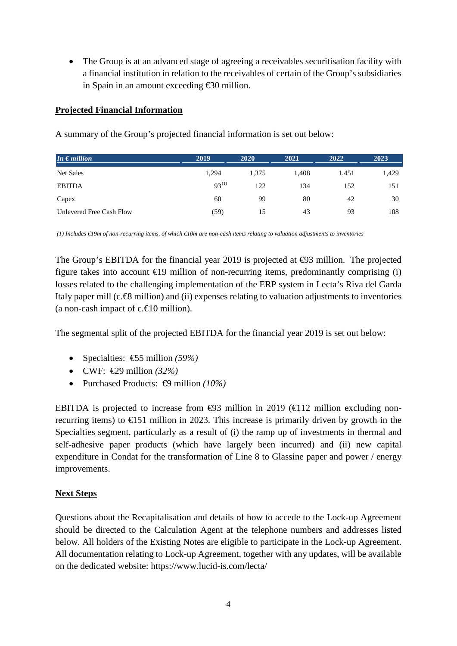• The Group is at an advanced stage of agreeing a receivables securitisation facility with a financial institution in relation to the receivables of certain of the Group's subsidiaries in Spain in an amount exceeding €30 million.

# **Projected Financial Information**

| In $\epsilon$ million    | 2019       | 2020  | 2021  | 2022  | 2023  |
|--------------------------|------------|-------|-------|-------|-------|
| Net Sales                | 1,294      | 1,375 | 1,408 | 1,451 | 1,429 |
| <b>EBITDA</b>            | $93^{(1)}$ | 122   | 134   | 152   | 151   |
| Capex                    | 60         | 99    | 80    | 42    | 30    |
| Unlevered Free Cash Flow | (59)       | 15    | 43    | 93    | 108   |

A summary of the Group's projected financial information is set out below:

*(1) Includes €19m of non-recurring items, of which €10m are non-cash items relating to valuation adjustments to inventories*

The Group's EBITDA for the financial year 2019 is projected at  $\Theta$ 3 million. The projected figure takes into account  $\epsilon$ 19 million of non-recurring items, predominantly comprising (i) losses related to the challenging implementation of the ERP system in Lecta's Riva del Garda Italy paper mill (c.€8 million) and (ii) expenses relating to valuation adjustments to inventories (a non-cash impact of  $c.\epsilon \equiv 0$  million).

The segmental split of the projected EBITDA for the financial year 2019 is set out below:

- Specialties: €55 million *(59%)*
- CWF: €29 million *(32%)*
- Purchased Products: €9 million *(10%)*

EBITDA is projected to increase from  $\Theta$ 3 million in 2019 ( $\Theta$ 12 million excluding nonrecurring items) to  $\epsilon$ 151 million in 2023. This increase is primarily driven by growth in the Specialties segment, particularly as a result of (i) the ramp up of investments in thermal and self-adhesive paper products (which have largely been incurred) and (ii) new capital expenditure in Condat for the transformation of Line 8 to Glassine paper and power / energy improvements.

## **Next Steps**

Questions about the Recapitalisation and details of how to accede to the Lock-up Agreement should be directed to the Calculation Agent at the telephone numbers and addresses listed below. All holders of the Existing Notes are eligible to participate in the Lock-up Agreement. All documentation relating to Lock-up Agreement, together with any updates, will be available on the dedicated website: https://www.lucid-is.com/lecta/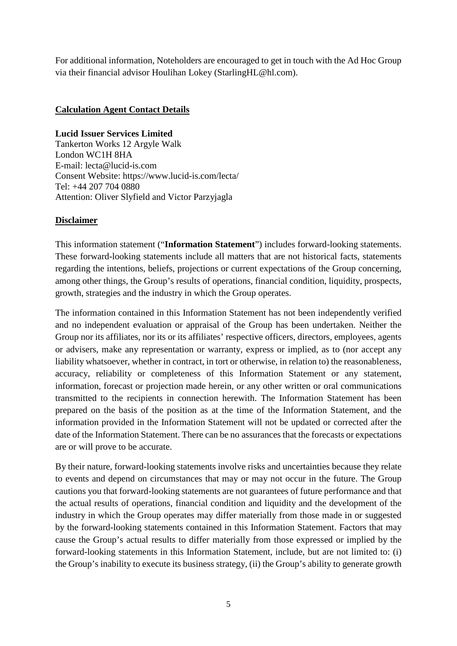For additional information, Noteholders are encouraged to get in touch with the Ad Hoc Group via their financial advisor Houlihan Lokey (StarlingHL@hl.com).

#### **Calculation Agent Contact Details**

#### **Lucid Issuer Services Limited**

Tankerton Works 12 Argyle Walk London WC1H 8HA E-mail: lecta@lucid-is.com Consent Website: https://www.lucid-is.com/lecta/ Tel: +44 207 704 0880 Attention: Oliver Slyfield and Victor Parzyjagla

#### **Disclaimer**

This information statement ("**Information Statement**") includes forward-looking statements. These forward-looking statements include all matters that are not historical facts, statements regarding the intentions, beliefs, projections or current expectations of the Group concerning, among other things, the Group's results of operations, financial condition, liquidity, prospects, growth, strategies and the industry in which the Group operates.

The information contained in this Information Statement has not been independently verified and no independent evaluation or appraisal of the Group has been undertaken. Neither the Group nor its affiliates, nor its or its affiliates' respective officers, directors, employees, agents or advisers, make any representation or warranty, express or implied, as to (nor accept any liability whatsoever, whether in contract, in tort or otherwise, in relation to) the reasonableness, accuracy, reliability or completeness of this Information Statement or any statement, information, forecast or projection made herein, or any other written or oral communications transmitted to the recipients in connection herewith. The Information Statement has been prepared on the basis of the position as at the time of the Information Statement, and the information provided in the Information Statement will not be updated or corrected after the date of the Information Statement. There can be no assurances that the forecasts or expectations are or will prove to be accurate.

By their nature, forward-looking statements involve risks and uncertainties because they relate to events and depend on circumstances that may or may not occur in the future. The Group cautions you that forward-looking statements are not guarantees of future performance and that the actual results of operations, financial condition and liquidity and the development of the industry in which the Group operates may differ materially from those made in or suggested by the forward-looking statements contained in this Information Statement. Factors that may cause the Group's actual results to differ materially from those expressed or implied by the forward-looking statements in this Information Statement, include, but are not limited to: (i) the Group's inability to execute its business strategy, (ii) the Group's ability to generate growth